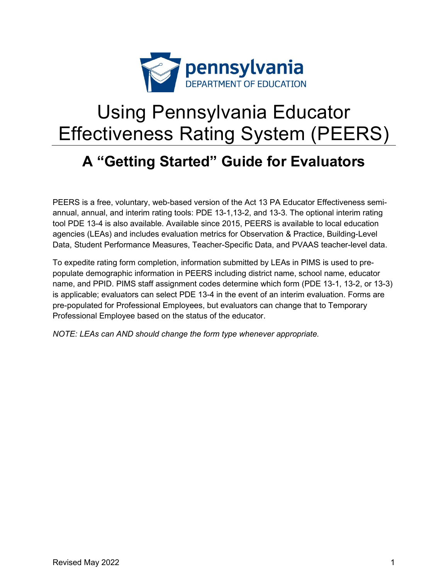

# Using Pennsylvania Educator Effectiveness Rating System (PEERS)

## **A "Getting Started" Guide for Evaluators**

PEERS is a free, voluntary, web-based version of the Act 13 PA Educator Effectiveness semiannual, annual, and interim rating tools: PDE 13-1,13-2, and 13-3. The optional interim rating tool PDE 13-4 is also available. Available since 2015, PEERS is available to local education agencies (LEAs) and includes evaluation metrics for Observation & Practice, Building-Level Data, Student Performance Measures, Teacher-Specific Data, and PVAAS teacher-level data.

To expedite rating form completion, information submitted by LEAs in PIMS is used to prepopulate demographic information in PEERS including district name, school name, educator name, and PPID. PIMS staff assignment codes determine which form (PDE 13-1, 13-2, or 13-3) is applicable; evaluators can select PDE 13-4 in the event of an interim evaluation. Forms are pre-populated for Professional Employees, but evaluators can change that to Temporary Professional Employee based on the status of the educator.

*NOTE: LEAs can AND should change the form type whenever appropriate.*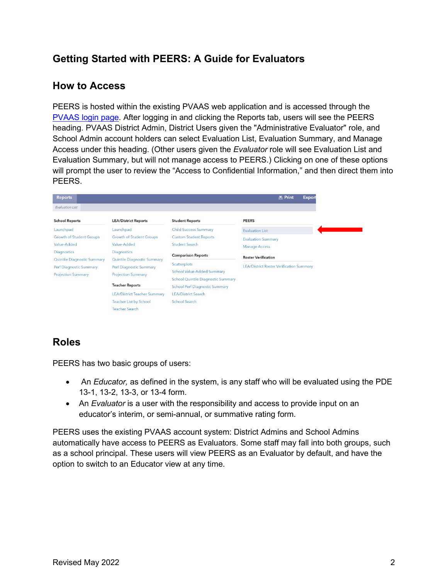## **Getting Started with PEERS: A Guide for Evaluators**

## **How to Access**

PEERS is hosted within the existing PVAAS web application and is accessed through the [PVAAS login page.](https://pvaas.sas.com/) After logging in and clicking the Reports tab, users will see the PEERS heading. PVAAS District Admin, District Users given the "Administrative Evaluator" role, and School Admin account holders can select Evaluation List, Evaluation Summary, and Manage Access under this heading. (Other users given the *Evaluator* role will see Evaluation List and Evaluation Summary, but will not manage access to PEERS.) Clicking on one of these options will prompt the user to review the "Access to Confidential Information," and then direct them into PEERS.

| <b>Reports</b>                     |                                     |                                                                                    | <b>昌 Print</b><br><b>Export</b>                 |
|------------------------------------|-------------------------------------|------------------------------------------------------------------------------------|-------------------------------------------------|
| <b>Evaluation List</b>             |                                     |                                                                                    |                                                 |
| <b>School Reports</b>              | <b>LEA/District Reports</b>         | <b>Student Reports</b>                                                             | <b>PEERS</b>                                    |
| Launchpad                          | Launchpad                           | <b>Child Success Summary</b>                                                       | <b>Evaluation List</b>                          |
| <b>Growth of Student Groups</b>    | <b>Growth of Student Groups</b>     | <b>Custom Student Reports</b>                                                      | <b>Evaluation Summary</b>                       |
| Value-Added                        | Value-Added                         | <b>Student Search</b>                                                              | <b>Manage Access</b>                            |
| Diagnostics                        | Diagnostics                         | <b>Comparison Reports</b>                                                          |                                                 |
| <b>Quintile Diagnostic Summary</b> | <b>Quintile Diagnostic Summary</b>  |                                                                                    | <b>Roster Verification</b>                      |
| Perf Diagnostic Summary            | Perf Diagnostic Summary             | Scatterplots                                                                       | <b>LEA/District Roster Verification Summary</b> |
| <b>Projection Summary</b>          | <b>Projection Summary</b>           | <b>School Value-Added Summary</b>                                                  |                                                 |
|                                    | <b>Teacher Reports</b>              | <b>School Quintile Diagnostic Summary</b><br><b>School Perf Diagnostic Summary</b> |                                                 |
|                                    | <b>LEA/District Teacher Summary</b> | <b>LEA/District Search</b>                                                         |                                                 |
|                                    | <b>Teacher List by School</b>       | <b>School Search</b>                                                               |                                                 |
|                                    | <b>Teacher Search</b>               |                                                                                    |                                                 |

## **Roles**

PEERS has two basic groups of users:

- An *Educator,* as defined in the system, is any staff who will be evaluated using the PDE 13-1, 13-2, 13-3, or 13-4 form.
- An *Evaluator* is a user with the responsibility and access to provide input on an educator's interim, or semi-annual, or summative rating form.

PEERS uses the existing PVAAS account system: District Admins and School Admins automatically have access to PEERS as Evaluators. Some staff may fall into both groups, such as a school principal. These users will view PEERS as an Evaluator by default, and have the option to switch to an Educator view at any time.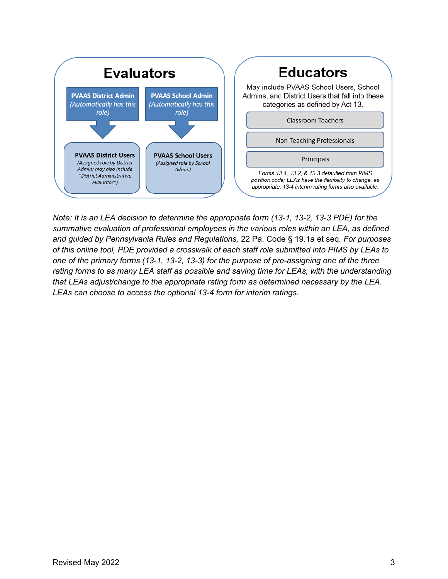

*Note: It is an LEA decision to determine the appropriate form (13-1, 13-2, 13-3 PDE) for the summative evaluation of professional employees in the various roles within an LEA, as defined and guided by Pennsylvania Rules and Regulations,* 22 Pa. Code § 19.1a et seq*. For purposes of this online tool, PDE provided a crosswalk of each staff role submitted into PIMS by LEAs to one of the primary forms (13-1, 13-2, 13-3) for the purpose of pre-assigning one of the three rating forms to as many LEA staff as possible and saving time for LEAs, with the understanding that LEAs adjust/change to the appropriate rating form as determined necessary by the LEA. LEAs can choose to access the optional 13-4 form for interim ratings.*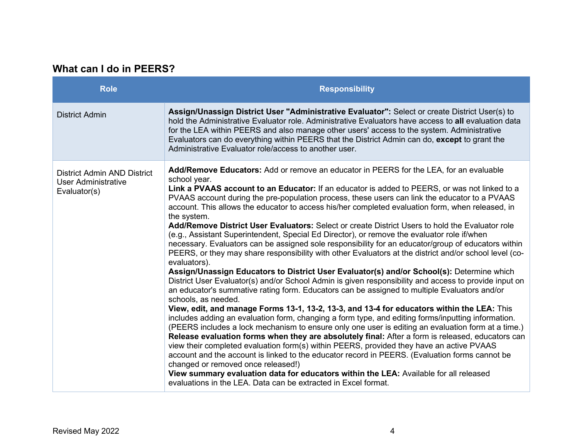## **What can I do in PEERS?**

| <b>Role</b>                                                               | <b>Responsibility</b>                                                                                                                                                                                                                                                                                                                                                                                                                                                                                                                                                                                                                                                                                                                                                                                                                                                                                                                                                                                                                                                                                                                                                                                                                                                                                                                                                                                                                                                                                                                                                                                                                                                                                                                                                                                                                                                                                                                                                                                    |
|---------------------------------------------------------------------------|----------------------------------------------------------------------------------------------------------------------------------------------------------------------------------------------------------------------------------------------------------------------------------------------------------------------------------------------------------------------------------------------------------------------------------------------------------------------------------------------------------------------------------------------------------------------------------------------------------------------------------------------------------------------------------------------------------------------------------------------------------------------------------------------------------------------------------------------------------------------------------------------------------------------------------------------------------------------------------------------------------------------------------------------------------------------------------------------------------------------------------------------------------------------------------------------------------------------------------------------------------------------------------------------------------------------------------------------------------------------------------------------------------------------------------------------------------------------------------------------------------------------------------------------------------------------------------------------------------------------------------------------------------------------------------------------------------------------------------------------------------------------------------------------------------------------------------------------------------------------------------------------------------------------------------------------------------------------------------------------------------|
| <b>District Admin</b>                                                     | Assign/Unassign District User "Administrative Evaluator": Select or create District User(s) to<br>hold the Administrative Evaluator role. Administrative Evaluators have access to all evaluation data<br>for the LEA within PEERS and also manage other users' access to the system. Administrative<br>Evaluators can do everything within PEERS that the District Admin can do, except to grant the<br>Administrative Evaluator role/access to another user.                                                                                                                                                                                                                                                                                                                                                                                                                                                                                                                                                                                                                                                                                                                                                                                                                                                                                                                                                                                                                                                                                                                                                                                                                                                                                                                                                                                                                                                                                                                                           |
| District Admin AND District<br><b>User Administrative</b><br>Evaluator(s) | Add/Remove Educators: Add or remove an educator in PEERS for the LEA, for an evaluable<br>school year.<br>Link a PVAAS account to an Educator: If an educator is added to PEERS, or was not linked to a<br>PVAAS account during the pre-population process, these users can link the educator to a PVAAS<br>account. This allows the educator to access his/her completed evaluation form, when released, in<br>the system.<br>Add/Remove District User Evaluators: Select or create District Users to hold the Evaluator role<br>(e.g., Assistant Superintendent, Special Ed Director), or remove the evaluator role if/when<br>necessary. Evaluators can be assigned sole responsibility for an educator/group of educators within<br>PEERS, or they may share responsibility with other Evaluators at the district and/or school level (co-<br>evaluators).<br>Assign/Unassign Educators to District User Evaluator(s) and/or School(s): Determine which<br>District User Evaluator(s) and/or School Admin is given responsibility and access to provide input on<br>an educator's summative rating form. Educators can be assigned to multiple Evaluators and/or<br>schools, as needed.<br>View, edit, and manage Forms 13-1, 13-2, 13-3, and 13-4 for educators within the LEA: This<br>includes adding an evaluation form, changing a form type, and editing forms/inputting information.<br>(PEERS includes a lock mechanism to ensure only one user is editing an evaluation form at a time.)<br>Release evaluation forms when they are absolutely final: After a form is released, educators can<br>view their completed evaluation form(s) within PEERS, provided they have an active PVAAS<br>account and the account is linked to the educator record in PEERS. (Evaluation forms cannot be<br>changed or removed once released!)<br>View summary evaluation data for educators within the LEA: Available for all released<br>evaluations in the LEA. Data can be extracted in Excel format. |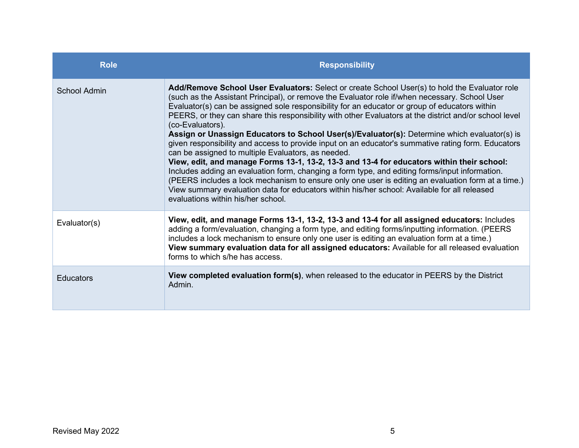| <b>Role</b>      | <b>Responsibility</b>                                                                                                                                                                                                                                                                                                                                                                                                                                                                                                                                                                                                                                                                                                                                                                                                                                                                                                                                                                                                                                                                                                                |
|------------------|--------------------------------------------------------------------------------------------------------------------------------------------------------------------------------------------------------------------------------------------------------------------------------------------------------------------------------------------------------------------------------------------------------------------------------------------------------------------------------------------------------------------------------------------------------------------------------------------------------------------------------------------------------------------------------------------------------------------------------------------------------------------------------------------------------------------------------------------------------------------------------------------------------------------------------------------------------------------------------------------------------------------------------------------------------------------------------------------------------------------------------------|
| School Admin     | Add/Remove School User Evaluators: Select or create School User(s) to hold the Evaluator role<br>(such as the Assistant Principal), or remove the Evaluator role if/when necessary. School User<br>Evaluator(s) can be assigned sole responsibility for an educator or group of educators within<br>PEERS, or they can share this responsibility with other Evaluators at the district and/or school level<br>(co-Evaluators).<br>Assign or Unassign Educators to School User(s)/Evaluator(s): Determine which evaluator(s) is<br>given responsibility and access to provide input on an educator's summative rating form. Educators<br>can be assigned to multiple Evaluators, as needed.<br>View, edit, and manage Forms 13-1, 13-2, 13-3 and 13-4 for educators within their school:<br>Includes adding an evaluation form, changing a form type, and editing forms/input information.<br>(PEERS includes a lock mechanism to ensure only one user is editing an evaluation form at a time.)<br>View summary evaluation data for educators within his/her school: Available for all released<br>evaluations within his/her school |
| Evaluator(s)     | View, edit, and manage Forms 13-1, 13-2, 13-3 and 13-4 for all assigned educators: Includes<br>adding a form/evaluation, changing a form type, and editing forms/inputting information. (PEERS<br>includes a lock mechanism to ensure only one user is editing an evaluation form at a time.)<br>View summary evaluation data for all assigned educators: Available for all released evaluation<br>forms to which s/he has access.                                                                                                                                                                                                                                                                                                                                                                                                                                                                                                                                                                                                                                                                                                   |
| <b>Educators</b> | View completed evaluation form(s), when released to the educator in PEERS by the District<br>Admin.                                                                                                                                                                                                                                                                                                                                                                                                                                                                                                                                                                                                                                                                                                                                                                                                                                                                                                                                                                                                                                  |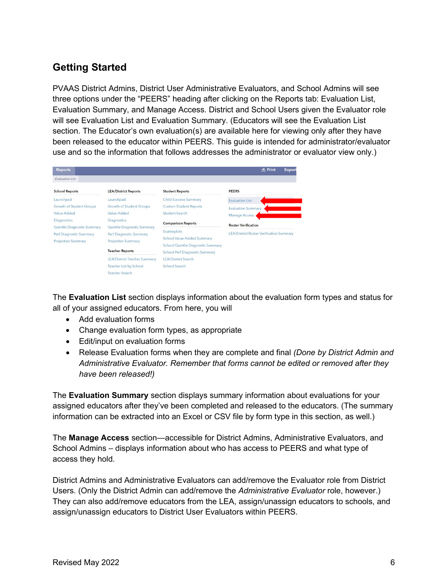## **Getting Started**

PVAAS District Admins, District User Administrative Evaluators, and School Admins will see three options under the "PEERS" heading after clicking on the Reports tab: Evaluation List, Evaluation Summary, and Manage Access. District and School Users given the Evaluator role will see Evaluation List and Evaluation Summary. (Educators will see the Evaluation List section. The Educator's own evaluation(s) are available here for viewing only after they have been released to the educator within PEERS. This guide is intended for administrator/evaluator use and so the information that follows addresses the administrator or evaluator view only.)

| <b>Reports</b>                  |                                     |                                                                             | <b>A</b> Print<br>Export                        |
|---------------------------------|-------------------------------------|-----------------------------------------------------------------------------|-------------------------------------------------|
| <b>Fyaluation List</b>          |                                     |                                                                             |                                                 |
| <b>School Reports</b>           | <b>LEA/District Reports</b>         | <b>Student Reports</b>                                                      | <b>PEERS</b>                                    |
| Launchpad                       | Launchpad                           | <b>Child Success Summary</b>                                                | <b>Evaluation List</b>                          |
| <b>Growth of Student Groups</b> | <b>Growth of Student Groups</b>     | <b>Custom Student Reports</b>                                               | <b>Evaluation Summary</b>                       |
| Value-Added                     | Value-Added                         | Student Search                                                              | <b>Manage Access</b>                            |
| <b>Diagnostics</b>              | <b>Diagnostics</b>                  | <b>Comparison Reports</b>                                                   |                                                 |
| Quintile Diagnostic Summary     | Quintile Diagnostic Summary         |                                                                             | <b>Roster Verification</b>                      |
| Perf Diagnostic Summary         | Perf Diagnostic Summary             | Scatterplots                                                                | <b>LEA/District Roster Verification Summary</b> |
| <b>Projection Summary</b>       | <b>Projection Summary</b>           | <b>School Value-Added Summary</b>                                           |                                                 |
|                                 | <b>Teacher Reports</b>              | School Quintile Diagnostic Summary<br><b>School Perf Diagnostic Summary</b> |                                                 |
|                                 | <b>LEA/District Teacher Summary</b> | <b>LEA/District Search</b>                                                  |                                                 |
|                                 | <b>Teacher List by School</b>       | <b>School Search</b>                                                        |                                                 |
|                                 | <b>Teacher Search</b>               |                                                                             |                                                 |

The **Evaluation List** section displays information about the evaluation form types and status for all of your assigned educators. From here, you will

- Add evaluation forms
- Change evaluation form types, as appropriate
- Edit/input on evaluation forms
- Release Evaluation forms when they are complete and final *(Done by District Admin and Administrative Evaluator. Remember that forms cannot be edited or removed after they have been released!)*

The **Evaluation Summary** section displays summary information about evaluations for your assigned educators after they've been completed and released to the educators. (The summary information can be extracted into an Excel or CSV file by form type in this section, as well.)

The **Manage Access** section—accessible for District Admins, Administrative Evaluators, and School Admins – displays information about who has access to PEERS and what type of access they hold.

District Admins and Administrative Evaluators can add/remove the Evaluator role from District Users. (Only the District Admin can add/remove the *Administrative Evaluator* role, however.) They can also add/remove educators from the LEA, assign/unassign educators to schools, and assign/unassign educators to District User Evaluators within PEERS.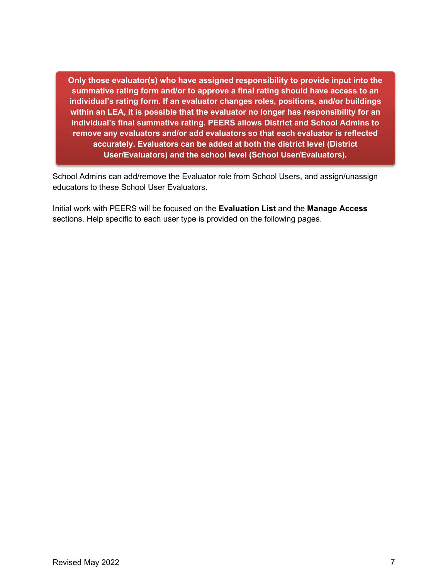**Only those evaluator(s) who have assigned responsibility to provide input into the summative rating form and/or to approve a final rating should have access to an individual's rating form. If an evaluator changes roles, positions, and/or buildings within an LEA, it is possible that the evaluator no longer has responsibility for an individual's final summative rating. PEERS allows District and School Admins to remove any evaluators and/or add evaluators so that each evaluator is reflected accurately. Evaluators can be added at both the district level (District User/Evaluators) and the school level (School User/Evaluators).**

School Admins can add/remove the Evaluator role from School Users, and assign/unassign educators to these School User Evaluators.

Initial work with PEERS will be focused on the **Evaluation List** and the **Manage Access** sections. Help specific to each user type is provided on the following pages.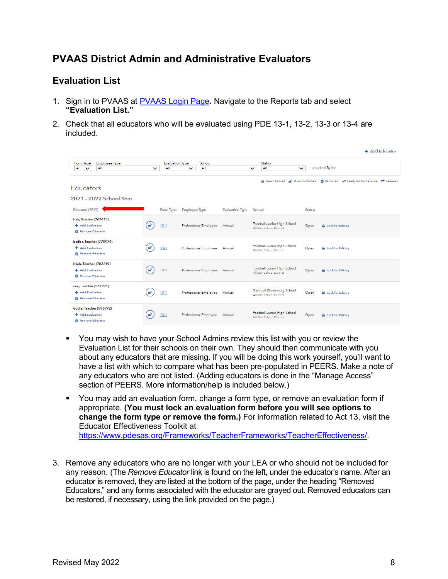## **PVAAS District Admin and Administrative Evaluators**

## **Evaluation List**

- 1. Sign in to PVAAS at [PVAAS Login Page.](https://pvaas.sas.com/) Navigate to the Reports tab and select **"Evaluation List."**
- 2. Check that all educators who will be evaluated using PDE 13-1, 13-2, 13-3 or 13-4 are included.

|                                                                          |                |                               |                              |                        |                                                         |               | <b>T</b> Add Educator                                                             |
|--------------------------------------------------------------------------|----------------|-------------------------------|------------------------------|------------------------|---------------------------------------------------------|---------------|-----------------------------------------------------------------------------------|
| Form Type<br><b>Employee Type</b><br>All<br>All<br>$\checkmark$          | $\checkmark$   | <b>Evaluation Type</b><br>All | School<br>All<br>$\check{ }$ |                        | <b>Status</b><br>All<br>$\check{ }$                     | $\checkmark$  | □ Locked By Me                                                                    |
| <b>Educators</b>                                                         |                |                               |                              |                        |                                                         |               | A Open, Locked (C) Open, Unlocked (C) Removed (V Ready for Conference (+ Released |
| 2021 - 2022 School Year<br>Educator (PPID)                               |                | Form Type                     | <b>Employee Type</b>         | <b>Evaluation Type</b> | School                                                  | <b>Status</b> |                                                                                   |
| bah, Teacher (767413)<br>+ Add Evaluation<br><b>T</b> Remove Educator    | $\blacksquare$ | $13-1$                        | Professional Employee        | Annual                 | Football Junior High School<br>All-Star School District | Open          | <b>A</b> Lock for Editina                                                         |
| bcdbc, Teacher (770974)<br>+ Add Evaluation<br>Remove Educator           | ÷              | $13-1$                        | Professional Employee Annual |                        | Football Junior High School<br>All-Star School District | Open          | <b>A</b> Lock for Editing                                                         |
| biieh, Teacher (783219)<br>+ Add Evaluation<br><b>TT</b> Remove Educator | $\mathbf{f}$   | $13 - 1$                      | Professional Employee Annual |                        | Football Junior High School<br>All-Star School District | Open          | <b>A</b> Lock for Editing                                                         |
| ceiij, Teacher (561991)<br>+ Add Evaluation<br>Remove Educator           | ₽              | $13-1$                        | Professional Employee        | Annual                 | Baseball Elementary School<br>All-Star School District  | Open          | <b>A</b> Lock for Editing                                                         |
| dddja, Teacher (896972)<br>+ Add Evaluation<br>Remove Educator           |                | $13-1$                        | Professional Employee        | Annual                 | Football Junior High School<br>All-Star School District | Open          | <b>A</b> Lock for Editing                                                         |

- You may wish to have your School Admins review this list with you or review the Evaluation List for their schools on their own. They should then communicate with you about any educators that are missing. If you will be doing this work yourself, you'll want to have a list with which to compare what has been pre-populated in PEERS. Make a note of any educators who are not listed. (Adding educators is done in the "Manage Access" section of PEERS. More information/help is included below.)
- You may add an evaluation form, change a form type, or remove an evaluation form if appropriate. **(You must lock an evaluation form before you will see options to change the form type or remove the form.)** For information related to Act 13, visit the Educator Effectiveness Toolkit at [https://www.pdesas.org/Frameworks/TeacherFrameworks/TeacherEffectiveness/.](https://www.pdesas.org/Frameworks/TeacherFrameworks/TeacherEffectiveness/)
- 3. Remove any educators who are no longer with your LEA or who should not be included for any reason. (The *Remove Educator* link is found on the left, under the educator's name. After an educator is removed, they are listed at the bottom of the page, under the heading "Removed Educators," and any forms associated with the educator are grayed out. Removed educators can be restored, if necessary, using the link provided on the page.)

**Contractor**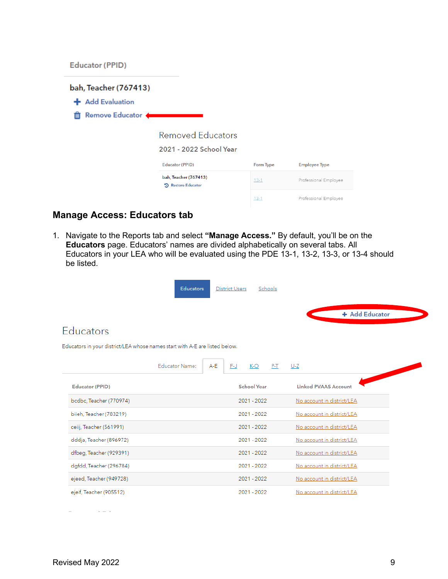**Educator (PPID)** 



## **Manage Access: Educators tab**

1. Navigate to the Reports tab and select **"Manage Access."** By default, you'll be on the **Educators** page. Educators' names are divided alphabetically on several tabs. All Educators in your LEA who will be evaluated using the PDE 13-1, 13-2, 13-3, or 13-4 should be listed.





## Educators

Educators in your district/LEA whose names start with A-E are listed below.

|                         | Educator Name: | A-E | F-J | K-O<br>$P-T$       | U-Z                         |
|-------------------------|----------------|-----|-----|--------------------|-----------------------------|
| Educator (PPID)         |                |     |     | <b>School Year</b> | <b>Linked PVAAS Account</b> |
| bcdbc, Teacher (770974) |                |     |     | 2021 - 2022        | No account in district/LEA  |
| bijeh, Teacher (783219) |                |     |     | 2021 - 2022        | No account in district/LEA  |
| ceiij, Teacher (561991) |                |     |     | 2021 - 2022        | No account in district/LEA  |
| dddja, Teacher (896972) |                |     |     | 2021 - 2022        | No account in district/LEA  |
| dfbeg, Teacher (929391) |                |     |     | 2021 - 2022        | No account in district/LEA  |
| dgfdd, Teacher (296784) |                |     |     | 2021 - 2022        | No account in district/LEA  |
| ejeed, Teacher (949728) |                |     |     | 2021 - 2022        | No account in district/LEA  |
| ejeif, Teacher (905512) |                |     |     | 2021 - 2022        | No account in district/LEA  |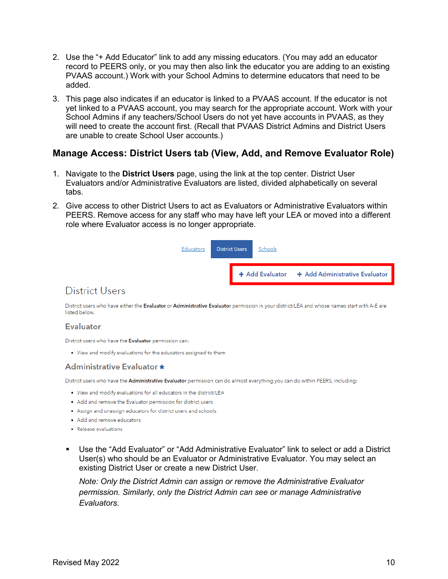- 2. Use the "+ Add Educator" link to add any missing educators. (You may add an educator record to PEERS only, or you may then also link the educator you are adding to an existing PVAAS account.) Work with your School Admins to determine educators that need to be added.
- 3. This page also indicates if an educator is linked to a PVAAS account. If the educator is not yet linked to a PVAAS account, you may search for the appropriate account. Work with your School Admins if any teachers/School Users do not yet have accounts in PVAAS, as they will need to create the account first. (Recall that PVAAS District Admins and District Users are unable to create School User accounts.)

#### **Manage Access: District Users tab (View, Add, and Remove Evaluator Role)**

- 1. Navigate to the **District Users** page, using the link at the top center. District User Evaluators and/or Administrative Evaluators are listed, divided alphabetically on several tabs.
- 2. Give access to other District Users to act as Evaluators or Administrative Evaluators within PEERS. Remove access for any staff who may have left your LEA or moved into a different role where Evaluator access is no longer appropriate.



## **District Users**

District users who have either the Evaluator or Administrative Evaluator permission in your district/LEA and whose names start with A-E are listed below

#### **Evaluator**

District users who have the Evaluator permission can:

. View and modify evaluations for the educators assigned to them

#### **Administrative Evaluator ★**

District users who have the Administrative Evaluator permission can do almost everything you can do within PEERS, including:

- . View and modify evaluations for all educators in the district/LEA
- . Add and remove the Evaluator permission for district users
- Assign and unassign educators for district users and schools
- . Add and remove educators
- Release evaluations
- Use the "Add Evaluator" or "Add Administrative Evaluator" link to select or add a District User(s) who should be an Evaluator or Administrative Evaluator. You may select an existing District User or create a new District User.

*Note: Only the District Admin can assign or remove the Administrative Evaluator permission. Similarly, only the District Admin can see or manage Administrative Evaluators.*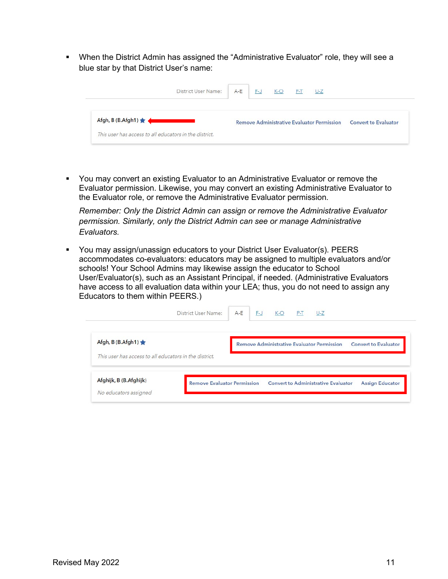When the District Admin has assigned the "Administrative Evaluator" role, they will see a blue star by that District User's name:

| District User Name:                                    | $A - E$ | F-J | $K-O$ | $P-T$ | $U-Z$                                             |                             |
|--------------------------------------------------------|---------|-----|-------|-------|---------------------------------------------------|-----------------------------|
| $Afgh, B (B.Afgh1)$ $\bigstar$                         |         |     |       |       | <b>Remove Administrative Evaluator Permission</b> | <b>Convert to Evaluator</b> |
| This user has access to all educators in the district. |         |     |       |       |                                                   |                             |

 You may convert an existing Evaluator to an Administrative Evaluator or remove the Evaluator permission. Likewise, you may convert an existing Administrative Evaluator to the Evaluator role, or remove the Administrative Evaluator permission.

*Remember: Only the District Admin can assign or remove the Administrative Evaluator permission. Similarly, only the District Admin can see or manage Administrative Evaluators.* 

 You may assign/unassign educators to your District User Evaluator(s). PEERS accommodates co-evaluators: educators may be assigned to multiple evaluators and/or schools! Your School Admins may likewise assign the educator to School User/Evaluator(s), such as an Assistant Principal, if needed. (Administrative Evaluators have access to all evaluation data within your LEA; thus, you do not need to assign any Educators to them within PEERS.)

|                                                        | District User Name: | $A - E$ | F-J | $K-O$ $P-T$ | $U-Z$                                                                            |
|--------------------------------------------------------|---------------------|---------|-----|-------------|----------------------------------------------------------------------------------|
| Afgh, B $(B.Afgh1)$                                    |                     |         |     |             | <b>Remove Administrative Evaluator Permission</b><br><b>Convert to Evaluator</b> |
|                                                        |                     |         |     |             |                                                                                  |
| This user has access to all educators in the district. |                     |         |     |             |                                                                                  |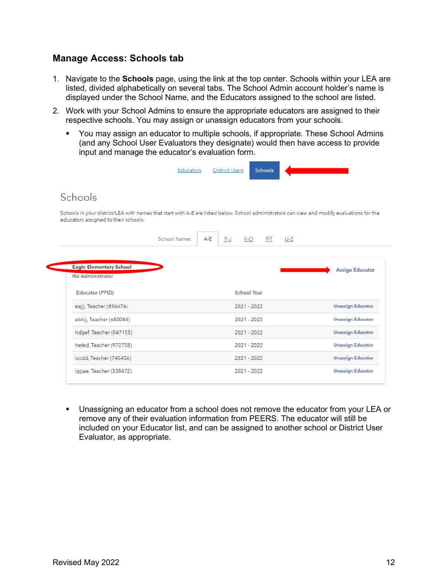## **Manage Access: Schools tab**

- 1. Navigate to the **Schools** page, using the link at the top center. Schools within your LEA are listed, divided alphabetically on several tabs. The School Admin account holder's name is displayed under the School Name, and the Educators assigned to the school are listed.
- 2. Work with your School Admins to ensure the appropriate educators are assigned to their respective schools. You may assign or unassign educators from your schools.
	- You may assign an educator to multiple schools, if appropriate. These School Admins (and any School User Evaluators they designate) would then have access to provide input and manage the educator's evaluation form.

|                                                                                                                                                                                     | Educators    |     | <b>District Users</b> |                    | <b>Schools</b> |       |                                                                                                                                                                    |
|-------------------------------------------------------------------------------------------------------------------------------------------------------------------------------------|--------------|-----|-----------------------|--------------------|----------------|-------|--------------------------------------------------------------------------------------------------------------------------------------------------------------------|
| Schools                                                                                                                                                                             |              |     |                       |                    |                |       |                                                                                                                                                                    |
| Schools in your district/LEA with names that start with A-E are listed below. School administrators can view and modify evaluations for the<br>educators assigned to their schools. |              |     |                       |                    |                |       |                                                                                                                                                                    |
|                                                                                                                                                                                     | School Name: | A-E | F-J                   | $K-O$              | P-T            | $U-Z$ |                                                                                                                                                                    |
|                                                                                                                                                                                     |              |     |                       |                    |                |       |                                                                                                                                                                    |
| Eagle Elementary School<br>No Administrator<br><b>Educator (PPID)</b>                                                                                                               |              |     |                       | <b>School Year</b> |                |       |                                                                                                                                                                    |
| eajjj, Teacher (896476)                                                                                                                                                             |              |     |                       | 2021 - 2022        |                |       |                                                                                                                                                                    |
| ebhij, Teacher (680084)                                                                                                                                                             |              |     |                       | 2021 - 2022        |                |       |                                                                                                                                                                    |
| hdgef, Teacher (547155)                                                                                                                                                             |              |     |                       | 2021 - 2022        |                |       |                                                                                                                                                                    |
| hefed, Teacher (972758)                                                                                                                                                             |              |     |                       | 2021 - 2022        |                |       |                                                                                                                                                                    |
| iccdd, Teacher (745456)                                                                                                                                                             |              |     |                       | 2021 - 2022        |                |       | <b>Assign Educator</b><br><b>Unassign Educator</b><br><b>Unassign Educator</b><br><b>Unassign Educator</b><br><b>Unassign Educator</b><br><b>Unassign Educator</b> |

 Unassigning an educator from a school does not remove the educator from your LEA or remove any of their evaluation information from PEERS. The educator will still be included on your Educator list, and can be assigned to another school or District User Evaluator, as appropriate.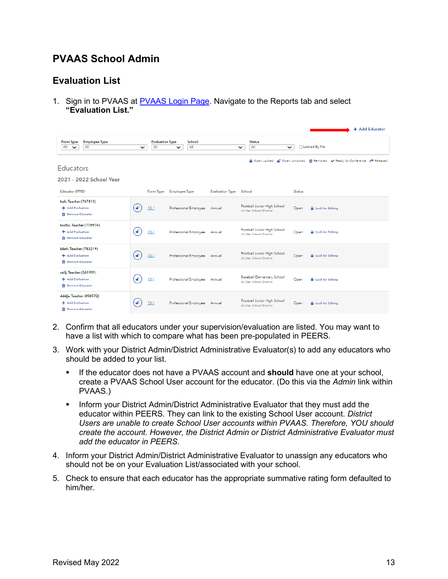## **PVAAS School Admin**

## **Evaluation List**

1. Sign in to PVAAS at [PVAAS Login Page.](https://pvaas.sas.com/) Navigate to the Reports tab and select **"Evaluation List."**

| <b>Employee Type</b><br>Form Type                                     |              | <b>Evaluation Type</b> | School                |                        | <b>Status</b>                                           |               | + Add Educator                                                               |
|-----------------------------------------------------------------------|--------------|------------------------|-----------------------|------------------------|---------------------------------------------------------|---------------|------------------------------------------------------------------------------|
| All<br><b>All</b><br>$\checkmark$                                     | $\check{ }$  | All                    | All<br>$\checkmark$   |                        | All<br>$\check{ }$                                      | $\checkmark$  | □ Locked By Me                                                               |
| <b>Educators</b>                                                      |              |                        |                       |                        |                                                         |               | A Open, Locked no Open, Unlocked m Removed v Ready for Conference → Released |
| 2021 - 2022 School Year                                               |              |                        |                       |                        |                                                         |               |                                                                              |
| Educator (PPID)                                                       |              | Form Type              | Employee Type         | <b>Evaluation Type</b> | School                                                  | <b>Status</b> |                                                                              |
| bah, Teacher (767413)<br>+ Add Evaluation<br><b>Remove Educator</b>   | <b>P</b>     | $13-1$                 | Professional Employee | Annual                 | Football Junior High School<br>All-Star School District | Open          | <b>A</b> Lock for Editing                                                    |
| bcdbc, Teacher (770974)<br>+ Add Evaluation<br><b>Remove Educator</b> | F            | $13-1$                 | Professional Employee | Annual                 | Football Junior High School<br>All-Star School District | Open          | <b>A</b> Lock for Editina                                                    |
| biieh, Teacher (783219)<br>+ Add Evaluation<br><b>Remove Educator</b> | $\mathbf{f}$ | $13-1$                 | Professional Employee | Annual                 | Football Junior High School<br>All-Star School District | Open          | <b>A</b> Lock for Editing                                                    |
| ceiij, Teacher (561991)<br>+ Add Evaluation<br><b>Remove Educator</b> | சி           | $13-1$                 | Professional Employee | Annual                 | Baseball Elementary School<br>All-Star School District  | Open          | <b>A</b> Lock for Editing                                                    |
| dddja, Teacher (896972)<br>+ Add Evaluation<br><b>Remove Educator</b> |              | $13-1$                 | Professional Employee | Annual                 | Football Junior High School<br>All-Star School District | Open          | <b>A</b> Lock for Editing                                                    |

- 2. Confirm that all educators under your supervision/evaluation are listed. You may want to have a list with which to compare what has been pre-populated in PEERS.
- 3. Work with your District Admin/District Administrative Evaluator(s) to add any educators who should be added to your list.
	- If the educator does not have a PVAAS account and **should** have one at your school, create a PVAAS School User account for the educator. (Do this via the *Admin* link within PVAAS.)
	- **Inform your District Admin/District Administrative Evaluator that they must add the** educator within PEERS. They can link to the existing School User account. *District Users are unable to create School User accounts within PVAAS. Therefore, YOU should create the account. However, the District Admin or District Administrative Evaluator must add the educator in PEERS.*
- 4. Inform your District Admin/District Administrative Evaluator to unassign any educators who should not be on your Evaluation List/associated with your school.
- 5. Check to ensure that each educator has the appropriate summative rating form defaulted to him/her.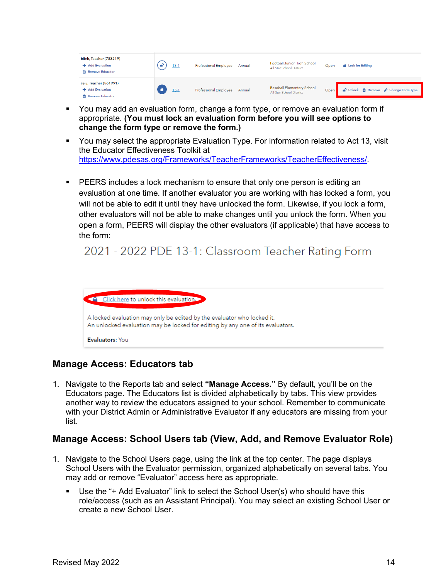| biieh, Teacher (783219)<br>+ Add Evaluation<br><b>ffi</b> Remove Educator | $13-1$   | Professional Employee | Annual | Football Junior High School<br>All-Star School District       | Open | <b>A</b> Lock for Editing             |
|---------------------------------------------------------------------------|----------|-----------------------|--------|---------------------------------------------------------------|------|---------------------------------------|
| ceiij, Teacher (561991)<br>+ Add Evaluation<br><b>ffi</b> Remove Educator | $13 - 1$ | Professional Employee | Annual | <b>Baseball Elementary School</b><br>All-Star School District | Open | ● Unlock mm Remove / Change Form Type |

- You may add an evaluation form, change a form type, or remove an evaluation form if appropriate. **(You must lock an evaluation form before you will see options to change the form type or remove the form.)**
- You may select the appropriate Evaluation Type. For information related to Act 13, visit the Educator Effectiveness Toolkit at [https://www.pdesas.org/Frameworks/TeacherFrameworks/TeacherEffectiveness/.](https://www.pdesas.org/Frameworks/TeacherFrameworks/TeacherEffectiveness/)
- **PEERS includes a lock mechanism to ensure that only one person is editing an** evaluation at one time. If another evaluator you are working with has locked a form, you will not be able to edit it until they have unlocked the form. Likewise, if you lock a form, other evaluators will not be able to make changes until you unlock the form. When you open a form, PEERS will display the other evaluators (if applicable) that have access to the form:

## 2021 - 2022 PDE 13-1: Classroom Teacher Rating Form



## **Manage Access: Educators tab**

1. Navigate to the Reports tab and select **"Manage Access."** By default, you'll be on the Educators page. The Educators list is divided alphabetically by tabs. This view provides another way to review the educators assigned to your school. Remember to communicate with your District Admin or Administrative Evaluator if any educators are missing from your list.

## **Manage Access: School Users tab (View, Add, and Remove Evaluator Role)**

- 1. Navigate to the School Users page, using the link at the top center. The page displays School Users with the Evaluator permission, organized alphabetically on several tabs. You may add or remove "Evaluator" access here as appropriate.
	- Use the "+ Add Evaluator" link to select the School User(s) who should have this role/access (such as an Assistant Principal). You may select an existing School User or create a new School User.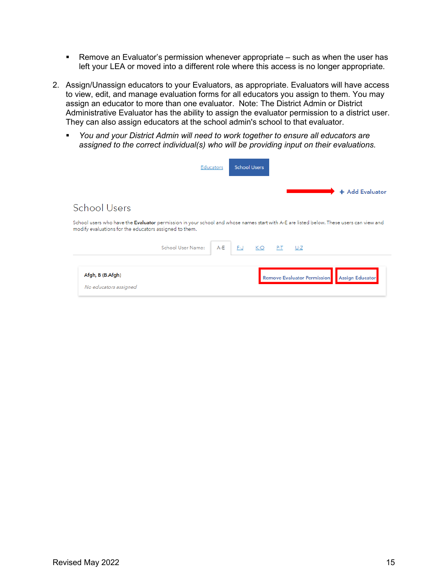- Remove an Evaluator's permission whenever appropriate such as when the user has left your LEA or moved into a different role where this access is no longer appropriate.
- 2. Assign/Unassign educators to your Evaluators, as appropriate. Evaluators will have access to view, edit, and manage evaluation forms for all educators you assign to them. You may assign an educator to more than one evaluator. Note: The District Admin or District Administrative Evaluator has the ability to assign the evaluator permission to a district user. They can also assign educators at the school admin's school to that evaluator.
	- *You and your District Admin will need to work together to ensure all educators are assigned to the correct individual(s) who will be providing input on their evaluations.*

|                                                                                                                                                                                                   | <b>Educators</b> | <b>School Users</b> |             |                                    |                        |                 |  |
|---------------------------------------------------------------------------------------------------------------------------------------------------------------------------------------------------|------------------|---------------------|-------------|------------------------------------|------------------------|-----------------|--|
|                                                                                                                                                                                                   |                  |                     |             |                                    |                        | + Add Evaluator |  |
| <b>School Users</b>                                                                                                                                                                               |                  |                     |             |                                    |                        |                 |  |
| School users who have the Evaluator permission in your school and whose names start with A-E are listed below. These users can view and<br>modify evaluations for the educators assigned to them. |                  |                     |             |                                    |                        |                 |  |
| School User Name:                                                                                                                                                                                 | $A - E$          | $F-J$               | K-O P-T U-Z |                                    |                        |                 |  |
| Afgh, B (B.Afgh)<br>No educators assigned                                                                                                                                                         |                  |                     |             | <b>Remove Evaluator Permission</b> | <b>Assign Educator</b> |                 |  |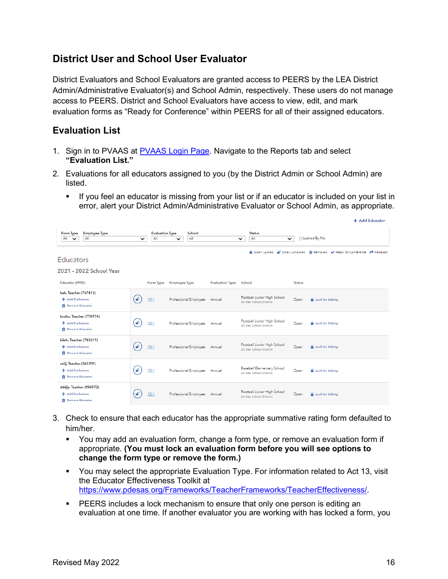## **District User and School User Evaluator**

District Evaluators and School Evaluators are granted access to PEERS by the LEA District Admin/Administrative Evaluator(s) and School Admin, respectively. These users do not manage access to PEERS. District and School Evaluators have access to view, edit, and mark evaluation forms as "Ready for Conference" within PEERS for all of their assigned educators.

## **Evaluation List**

- 1. Sign in to PVAAS at [PVAAS Login Page.](https://pvaas.sas.com/) Navigate to the Reports tab and select **"Evaluation List."**
- 2. Evaluations for all educators assigned to you (by the District Admin or School Admin) are listed.
	- **If you feel an educator is missing from your list or if an educator is included on your list in** error, alert your District Admin/Administrative Evaluator or School Admin, as appropriate.

| Employee Type<br>Form Type<br>All<br>All<br>$\check{ }$                 | $\checkmark$     | <b>Evaluation Type</b><br>All | School<br>All<br>$\check{ }$ |                        | <b>Status</b><br>All<br>$\checkmark$                    | $\checkmark$  | □ Locked By Me                                                               |
|-------------------------------------------------------------------------|------------------|-------------------------------|------------------------------|------------------------|---------------------------------------------------------|---------------|------------------------------------------------------------------------------|
| <b>Educators</b><br>2021 - 2022 School Year                             |                  |                               |                              |                        |                                                         |               | A Open, Locked no Open, Unlocked m Removed v Ready for Conference → Released |
| Educator (PPID)                                                         |                  | Form Type                     | Employee Type                | <b>Evaluation Type</b> | School                                                  | <b>Status</b> |                                                                              |
| bah, Teacher (767413)<br>+ Add Evaluation<br><b>Remove Educator</b>     | $\blacktriangle$ | $13-1$                        | Professional Employee        | Annual                 | Football Junior High School<br>All-Star School District | Open          | <b>A</b> Lock for Editing                                                    |
| bcdbc, Teacher (770974)<br>+ Add Evaluation<br><b>T</b> Remove Educator | F                | $13-1$                        | Professional Employee        | Annual                 | Football Junior High School<br>All-Star School District | Open          | <b>A</b> Lock for Editing                                                    |
| biieh, Teacher (783219)<br>+ Add Evaluation<br>Remove Educator          | $\blacktriangle$ | $13-1$                        | Professional Employee        | Annual                 | Football Junior High School<br>All-Star School District | Open          | <b>A</b> Lock for Editing                                                    |
| ceiij, Teacher (561991)<br>+ Add Evaluation<br>Remove Educator          | ₽                | $13-1$                        | Professional Employee        | Annual                 | Baseball Elementary School<br>All-Star School District  | Open          | <b>A</b> Lock for Editing                                                    |
| dddja, Teacher (896972)<br>+ Add Evaluation<br><b>Remove Educator</b>   |                  | $13-1$                        | Professional Employee        | Annual                 | Football Junior High School<br>All-Star School District | Open          | <b>A</b> Lock for Editing                                                    |

- 3. Check to ensure that each educator has the appropriate summative rating form defaulted to him/her.
	- You may add an evaluation form, change a form type, or remove an evaluation form if appropriate. **(You must lock an evaluation form before you will see options to change the form type or remove the form.)**
	- You may select the appropriate Evaluation Type. For information related to Act 13, visit the Educator Effectiveness Toolkit at [https://www.pdesas.org/Frameworks/TeacherFrameworks/TeacherEffectiveness/.](https://www.pdesas.org/Frameworks/TeacherFrameworks/TeacherEffectiveness/)
	- PEERS includes a lock mechanism to ensure that only one person is editing an evaluation at one time. If another evaluator you are working with has locked a form, you

**A. Add Educator**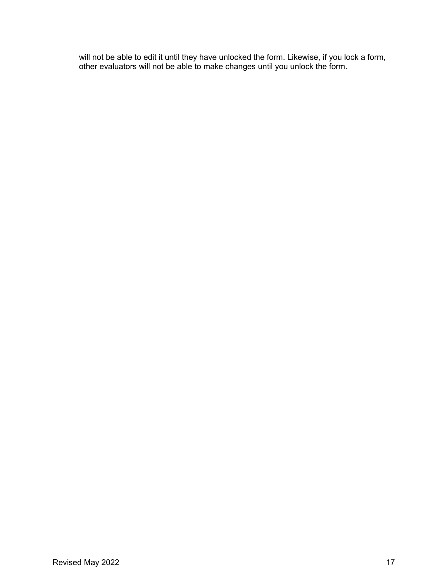will not be able to edit it until they have unlocked the form. Likewise, if you lock a form, other evaluators will not be able to make changes until you unlock the form.